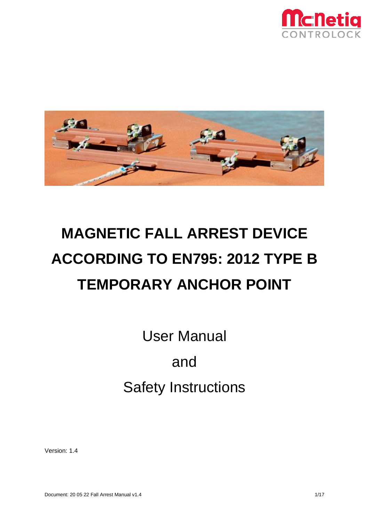



# **MAGNETIC FALL ARREST DEVICE ACCORDING TO EN795: 2012 TYPE B TEMPORARY ANCHOR POINT**

User Manual and Safety Instructions

Version: 1.4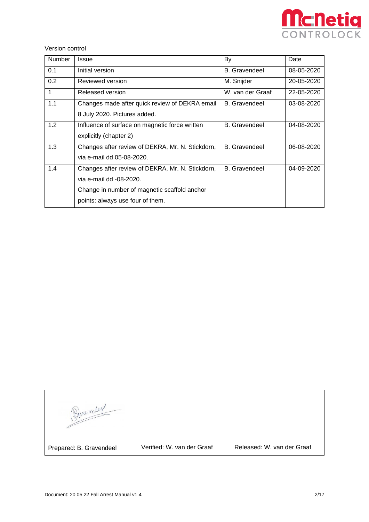

Version control

| <b>Number</b> | Issue                                            | By                   | Date       |
|---------------|--------------------------------------------------|----------------------|------------|
| 0.1           | Initial version                                  | <b>B.</b> Gravendeel | 08-05-2020 |
| 0.2           | Reviewed version                                 | M. Snijder           | 20-05-2020 |
| 1             | Released version                                 | W. van der Graaf     | 22-05-2020 |
| 1.1           | Changes made after quick review of DEKRA email   | <b>B.</b> Gravendeel | 03-08-2020 |
|               | 8 July 2020. Pictures added.                     |                      |            |
| 1.2           | Influence of surface on magnetic force written   | <b>B.</b> Gravendeel | 04-08-2020 |
|               | explicitly (chapter 2)                           |                      |            |
| 1.3           | Changes after review of DEKRA, Mr. N. Stickdorn, | <b>B.</b> Gravendeel | 06-08-2020 |
|               | via e-mail dd 05-08-2020.                        |                      |            |
| 1.4           | Changes after review of DEKRA, Mr. N. Stickdorn, | <b>B.</b> Gravendeel | 04-09-2020 |
|               | via e-mail dd -08-2020.                          |                      |            |
|               | Change in number of magnetic scaffold anchor     |                      |            |
|               | points: always use four of them.                 |                      |            |

| Bonnerley               |                            |                            |
|-------------------------|----------------------------|----------------------------|
| Prepared: B. Gravendeel | Verified: W. van der Graaf | Released: W. van der Graaf |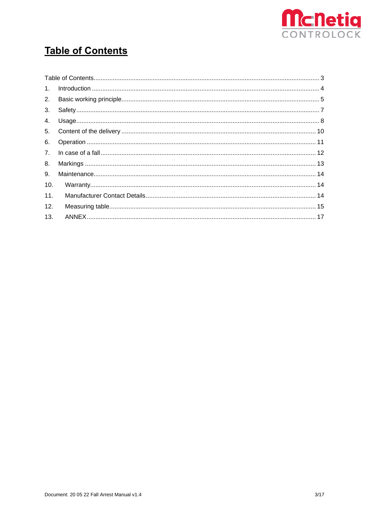

## <span id="page-2-0"></span>**Table of Contents**

| 1 <sub>1</sub> |  |
|----------------|--|
| 2.             |  |
| 3.             |  |
| 4.             |  |
| 5.             |  |
| 6.             |  |
| 7 <sup>1</sup> |  |
| 8.             |  |
| 9.             |  |
| 10.            |  |
| 11.            |  |
| 12.            |  |
| 13.            |  |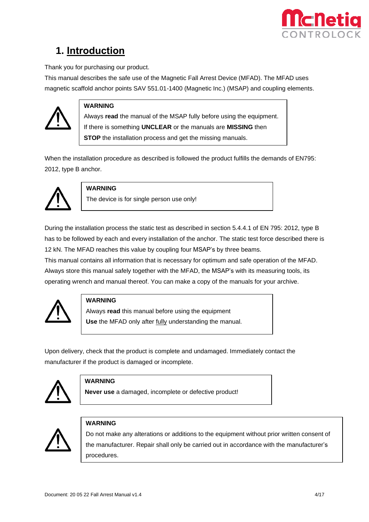

### <span id="page-3-0"></span>**1. Introduction**

Thank you for purchasing our product.

This manual describes the safe use of the Magnetic Fall Arrest Device (MFAD). The MFAD uses magnetic scaffold anchor points SAV 551.01-1400 (Magnetic Inc.) (MSAP) and coupling elements.



### **WARNING**

Always **read** the manual of the MSAP fully before using the equipment. If there is something **UNCLEAR** or the manuals are **MISSING** then **STOP** the installation process and get the missing manuals.

When the installation procedure as described is followed the product fulfills the demands of EN795: 2012, type B anchor.



#### **WARNING**

The device is for single person use only!

During the installation process the static test as described in section 5.4.4.1 of EN 795: 2012, type B has to be followed by each and every installation of the anchor. The static test force described there is 12 kN. The MFAD reaches this value by coupling four MSAP's by three beams.

This manual contains all information that is necessary for optimum and safe operation of the MFAD. Always store this manual safely together with the MFAD, the MSAP's with its measuring tools, its operating wrench and manual thereof. You can make a copy of the manuals for your archive.



#### **WARNING**

Always **read** this manual before using the equipment **Use** the MFAD only after fully understanding the manual.

Upon delivery, check that the product is complete and undamaged. Immediately contact the manufacturer if the product is damaged or incomplete.



#### **WARNING**

**Never use** a damaged, incomplete or defective product!



#### **WARNING**

Do not make any alterations or additions to the equipment without prior written consent of the manufacturer. Repair shall only be carried out in accordance with the manufacturer's procedures.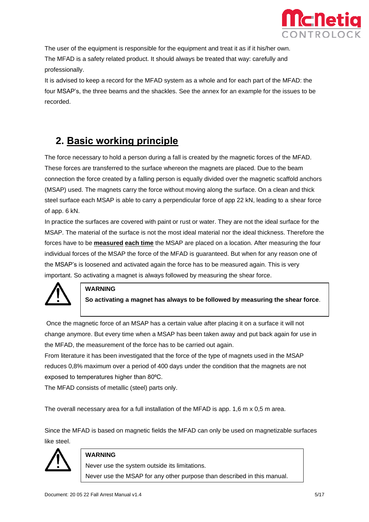

The user of the equipment is responsible for the equipment and treat it as if it his/her own. The MFAD is a safety related product. It should always be treated that way: carefully and professionally.

It is advised to keep a record for the MFAD system as a whole and for each part of the MFAD: the four MSAP's, the three beams and the shackles. See the annex for an example for the issues to be recorded.

### <span id="page-4-0"></span>**2. Basic working principle**

The force necessary to hold a person during a fall is created by the magnetic forces of the MFAD. These forces are transferred to the surface whereon the magnets are placed. Due to the beam connection the force created by a falling person is equally divided over the magnetic scaffold anchors (MSAP) used. The magnets carry the force without moving along the surface. On a clean and thick steel surface each MSAP is able to carry a perpendicular force of app 22 kN, leading to a shear force of app. 6 kN.

In practice the surfaces are covered with paint or rust or water. They are not the ideal surface for the MSAP. The material of the surface is not the most ideal material nor the ideal thickness. Therefore the forces have to be **measured each time** the MSAP are placed on a location. After measuring the four individual forces of the MSAP the force of the MFAD is guaranteed. But when for any reason one of the MSAP's is loosened and activated again the force has to be measured again. This is very important. So activating a magnet is always followed by measuring the shear force.



#### **WARNING**

**So activating a magnet has always to be followed by measuring the shear force**.

Once the magnetic force of an MSAP has a certain value after placing it on a surface it will not change anymore. But every time when a MSAP has been taken away and put back again for use in the MFAD, the measurement of the force has to be carried out again.

From literature it has been investigated that the force of the type of magnets used in the MSAP reduces 0,8% maximum over a period of 400 days under the condition that the magnets are not exposed to temperatures higher than 80°C.

The MFAD consists of metallic (steel) parts only.

The overall necessary area for a full installation of the MFAD is app. 1,6 m x 0,5 m area.

Since the MFAD is based on magnetic fields the MFAD can only be used on magnetizable surfaces like steel.



#### **WARNING**

Never use the system outside its limitations.

Never use the MSAP for any other purpose than described in this manual.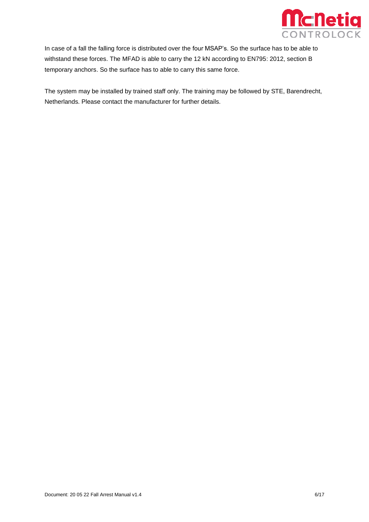

In case of a fall the falling force is distributed over the four MSAP's. So the surface has to be able to withstand these forces. The MFAD is able to carry the 12 kN according to EN795: 2012, section B temporary anchors. So the surface has to able to carry this same force.

The system may be installed by trained staff only. The training may be followed by STE, Barendrecht, Netherlands. Please contact the manufacturer for further details.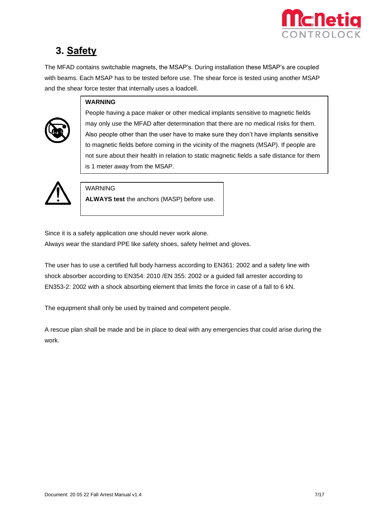

### <span id="page-6-0"></span>**3. Safety**

The MFAD contains switchable magnets, the MSAP's. During installation these MSAP's are coupled with beams. Each MSAP has to be tested before use. The shear force is tested using another MSAP and the shear force tester that internally uses a loadcell.

#### **WARNING**

People having a pace maker or other medical implants sensitive to magnetic fields may only use the MFAD after determination that there are no medical risks for them. Also people other than the user have to make sure they don't have implants sensitive to magnetic fields before coming in the vicinity of the magnets (MSAP). If people are not sure about their health in relation to static magnetic fields a safe distance for them is 1 meter away from the MSAP.



#### WARNING

**ALWAYS test** the anchors (MASP) before use.

Since it is a safety application one should never work alone.

Always wear the standard PPE like safety shoes, safety helmet and gloves.

The user has to use a certified full body harness according to EN361: 2002 and a safety line with shock absorber according to EN354: 2010 /EN 355: 2002 or a guided fall arrester according to EN353-2: 2002 with a shock absorbing element that limits the force in case of a fall to 6 kN.

The equipment shall only be used by trained and competent people.

A rescue plan shall be made and be in place to deal with any emergencies that could arise during the work.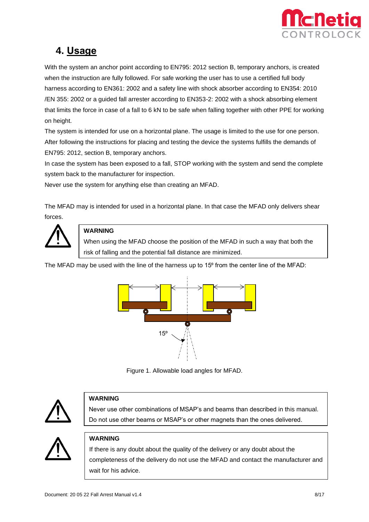

### <span id="page-7-0"></span>**4. Usage**

With the system an anchor point according to EN795: 2012 section B, temporary anchors, is created when the instruction are fully followed. For safe working the user has to use a certified full body harness according to EN361: 2002 and a safety line with shock absorber according to EN354: 2010 /EN 355: 2002 or a guided fall arrester according to EN353-2: 2002 with a shock absorbing element that limits the force in case of a fall to 6 kN to be safe when falling together with other PPE for working on height.

The system is intended for use on a horizontal plane. The usage is limited to the use for one person. After following the instructions for placing and testing the device the systems fulfills the demands of EN795: 2012, section B, temporary anchors.

In case the system has been exposed to a fall, STOP working with the system and send the complete system back to the manufacturer for inspection.

Never use the system for anything else than creating an MFAD.

The MFAD may is intended for used in a horizontal plane. In that case the MFAD only delivers shear forces.



#### **WARNING**

When using the MFAD choose the position of the MFAD in such a way that both the risk of falling and the potential fall distance are minimized.

The MFAD may be used with the line of the harness up to 15<sup>o</sup> from the center line of the MFAD:



Figure 1. Allowable load angles for MFAD.



#### **WARNING**

Never use other combinations of MSAP's and beams than described in this manual. Do not use other beams or MSAP's or other magnets than the ones delivered.



#### **WARNING**

If there is any doubt about the quality of the delivery or any doubt about the completeness of the delivery do not use the MFAD and contact the manufacturer and wait for his advice.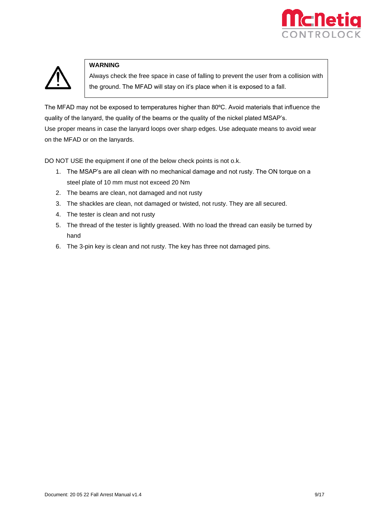



#### **WARNING**

Always check the free space in case of falling to prevent the user from a collision with the ground. The MFAD will stay on it's place when it is exposed to a fall.

The MFAD may not be exposed to temperatures higher than 80°C. Avoid materials that influence the quality of the lanyard, the quality of the beams or the quality of the nickel plated MSAP's. Use proper means in case the lanyard loops over sharp edges. Use adequate means to avoid wear on the MFAD or on the lanyards.

DO NOT USE the equipment if one of the below check points is not o.k.

- 1. The MSAP's are all clean with no mechanical damage and not rusty. The ON torque on a steel plate of 10 mm must not exceed 20 Nm
- 2. The beams are clean, not damaged and not rusty
- 3. The shackles are clean, not damaged or twisted, not rusty. They are all secured.
- 4. The tester is clean and not rusty
- 5. The thread of the tester is lightly greased. With no load the thread can easily be turned by hand
- 6. The 3-pin key is clean and not rusty. The key has three not damaged pins.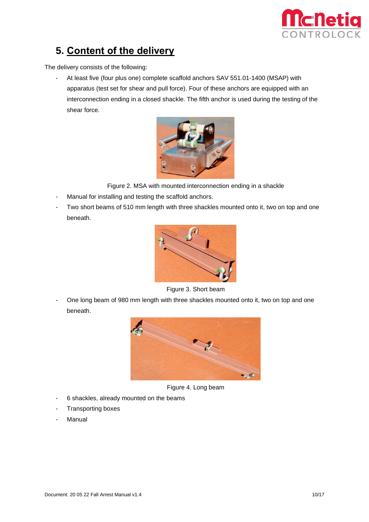

### <span id="page-9-0"></span>**5. Content of the delivery**

The delivery consists of the following:

- At least five (four plus one) complete scaffold anchors SAV 551.01-1400 (MSAP) with apparatus (test set for shear and pull force). Four of these anchors are equipped with an interconnection ending in a closed shackle. The fifth anchor is used during the testing of the shear force.



Figure 2. MSA with mounted interconnection ending in a shackle

- Manual for installing and testing the scaffold anchors.
- Two short beams of 510 mm length with three shackles mounted onto it, two on top and one beneath.



Figure 3. Short beam

One long beam of 980 mm length with three shackles mounted onto it, two on top and one beneath.



Figure 4. Long beam

- 6 shackles, already mounted on the beams
- Transporting boxes
- **Manual**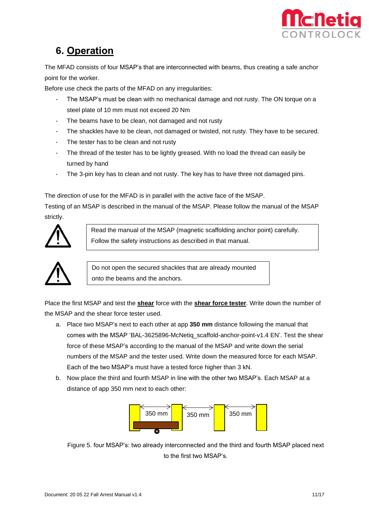

### <span id="page-10-0"></span>**6. Operation**

The MFAD consists of four MSAP's that are interconnected with beams, thus creating a safe anchor point for the worker.

Before use check the parts of the MFAD on any irregularities:

- The MSAP's must be clean with no mechanical damage and not rusty. The ON torque on a steel plate of 10 mm must not exceed 20 Nm
- The beams have to be clean, not damaged and not rusty
- The shackles have to be clean, not damaged or twisted, not rusty. They have to be secured.
- The tester has to be clean and not rusty
- The thread of the tester has to be lightly greased. With no load the thread can easily be turned by hand
- The 3-pin key has to clean and not rusty. The key has to have three not damaged pins.

The direction of use for the MFAD is in parallel with the active face of the MSAP.

Testing of an MSAP is described in the manual of the MSAP. Please follow the manual of the MSAP strictly.



Read the manual of the MSAP (magnetic scaffolding anchor point) carefully. Follow the safety instructions as described in that manual.



Do not open the secured shackles that are already mounted onto the beams and the anchors.

Place the first MSAP and test the **shear** force with the **shear force tester**. Write down the number of the MSAP and the shear force tester used.

- a. Place two MSAP's next to each other at app **350 mm** distance following the manual that comes with the MSAP 'BAL-3625896-McNetiq\_scaffold-anchor-point-v1.4 EN'. Test the shear force of these MSAP's according to the manual of the MSAP and write down the serial numbers of the MSAP and the tester used. Write down the measured force for each MSAP. Each of the two MSAP's must have a tested force higher than 3 kN.
- b. Now place the third and fourth MSAP in line with the other two MSAP's. Each MSAP at a distance of app 350 mm next to each other:



Figure 5. four MSAP's: two already interconnected and the third and fourth MSAP placed next to the first two MSAP's.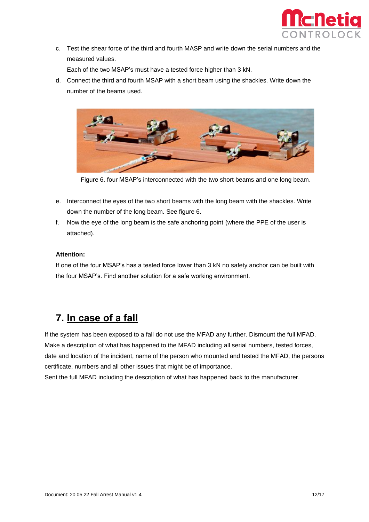

c. Test the shear force of the third and fourth MASP and write down the serial numbers and the measured values.

Each of the two MSAP's must have a tested force higher than 3 kN.

d. Connect the third and fourth MSAP with a short beam using the shackles. Write down the number of the beams used.



Figure 6. four MSAP's interconnected with the two short beams and one long beam.

- e. Interconnect the eyes of the two short beams with the long beam with the shackles. Write down the number of the long beam. See figure 6.
- f. Now the eye of the long beam is the safe anchoring point (where the PPE of the user is attached).

#### **Attention:**

If one of the four MSAP's has a tested force lower than 3 kN no safety anchor can be built with the four MSAP's. Find another solution for a safe working environment.

### <span id="page-11-0"></span>**7. In case of a fall**

If the system has been exposed to a fall do not use the MFAD any further. Dismount the full MFAD. Make a description of what has happened to the MFAD including all serial numbers, tested forces, date and location of the incident, name of the person who mounted and tested the MFAD, the persons certificate, numbers and all other issues that might be of importance.

Sent the full MFAD including the description of what has happened back to the manufacturer.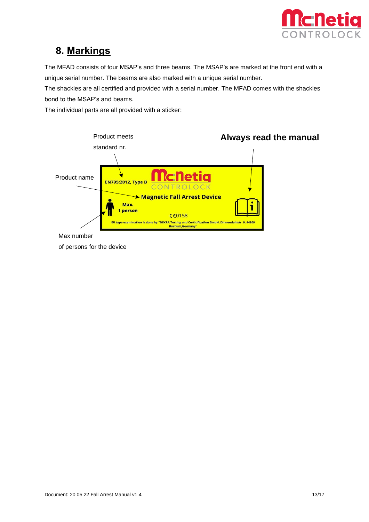

### <span id="page-12-0"></span>**8. Markings**

The MFAD consists of four MSAP's and three beams. The MSAP's are marked at the front end with a unique serial number. The beams are also marked with a unique serial number.

The shackles are all certified and provided with a serial number. The MFAD comes with the shackles bond to the MSAP's and beams.

The individual parts are all provided with a sticker:



Max number

of persons for the device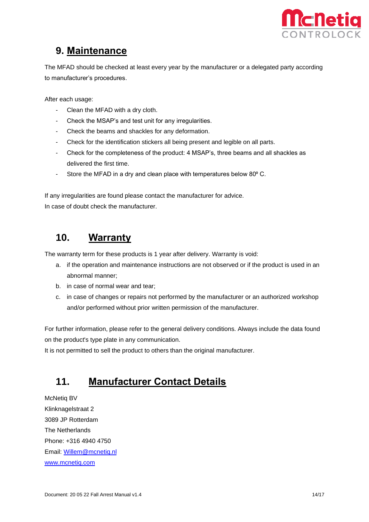

### <span id="page-13-0"></span>**9. Maintenance**

The MFAD should be checked at least every year by the manufacturer or a delegated party according to manufacturer's procedures.

After each usage:

- Clean the MFAD with a dry cloth.
- Check the MSAP's and test unit for any irregularities.
- Check the beams and shackles for any deformation.
- Check for the identification stickers all being present and legible on all parts.
- Check for the completeness of the product: 4 MSAP's, three beams and all shackles as delivered the first time.
- Store the MFAD in a dry and clean place with temperatures below 80° C.

If any irregularities are found please contact the manufacturer for advice. In case of doubt check the manufacturer.

### <span id="page-13-1"></span>**10. Warranty**

The warranty term for these products is 1 year after delivery. Warranty is void:

- a. if the operation and maintenance instructions are not observed or if the product is used in an abnormal manner;
- b. in case of normal wear and tear;
- c. in case of changes or repairs not performed by the manufacturer or an authorized workshop and/or performed without prior written permission of the manufacturer.

For further information, please refer to the general delivery conditions. Always include the data found on the product's type plate in any communication.

It is not permitted to sell the product to others than the original manufacturer.

### <span id="page-13-2"></span>**11. Manufacturer Contact Details**

McNetiq BV Klinknagelstraat 2 3089 JP Rotterdam The Netherlands Phone: +316 4940 4750 Email: [Willem@mcnetiq.nl](mailto:Willem@mcnetiq.nl) [www.mcnetiq.com](http://www.mcnetiq.com/)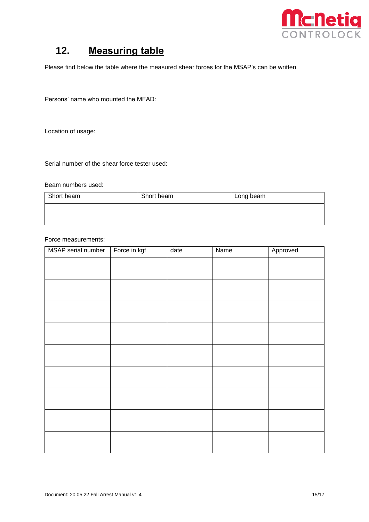

### <span id="page-14-0"></span>**12. Measuring table**

Please find below the table where the measured shear forces for the MSAP's can be written.

Persons' name who mounted the MFAD:

Location of usage:

Serial number of the shear force tester used:

#### Beam numbers used:

| Short beam | Short beam | Long beam |
|------------|------------|-----------|
|            |            |           |
|            |            |           |

#### Force measurements:

| MSAP serial number | Force in kgf | date | <b>Name</b> | Approved |
|--------------------|--------------|------|-------------|----------|
|                    |              |      |             |          |
|                    |              |      |             |          |
|                    |              |      |             |          |
|                    |              |      |             |          |
|                    |              |      |             |          |
|                    |              |      |             |          |
|                    |              |      |             |          |
|                    |              |      |             |          |
|                    |              |      |             |          |
|                    |              |      |             |          |
|                    |              |      |             |          |
|                    |              |      |             |          |
|                    |              |      |             |          |
|                    |              |      |             |          |
|                    |              |      |             |          |
|                    |              |      |             |          |
|                    |              |      |             |          |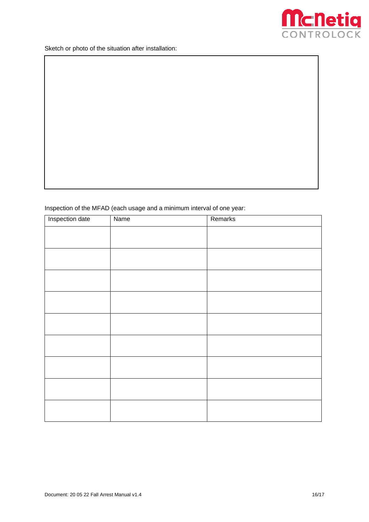

Sketch or photo of the situation after installation:

#### Inspection of the MFAD (each usage and a minimum interval of one year:

| Inspection date | Name | Remarks |
|-----------------|------|---------|
|                 |      |         |
|                 |      |         |
|                 |      |         |
|                 |      |         |
|                 |      |         |
|                 |      |         |
|                 |      |         |
|                 |      |         |
|                 |      |         |